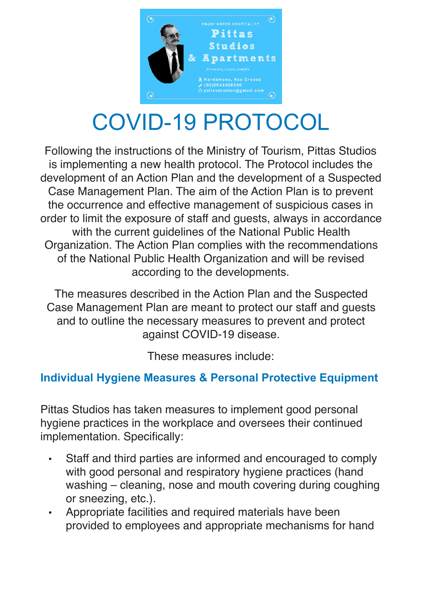

# COVID-19 PROTOCOL

Following the instructions of the Ministry of Tourism, Pittas Studios is implementing a new health protocol. The Protocol includes the development of an Action Plan and the development of a Suspected Case Management Plan. The aim of the Action Plan is to prevent the occurrence and effective management of suspicious cases in order to limit the exposure of staff and guests, always in accordance with the current guidelines of the National Public Health Organization. The Action Plan complies with the recommendations of the National Public Health Organization and will be revised according to the developments.

The measures described in the Action Plan and the Suspected Case Management Plan are meant to protect our staff and guests and to outline the necessary measures to prevent and protect against COVID-19 disease.

These measures include:

#### **Individual Hygiene Measures & Personal Protective Equipment**

Pittas Studios has taken measures to implement good personal hygiene practices in the workplace and oversees their continued implementation. Specifically:

- Staff and third parties are informed and encouraged to comply with good personal and respiratory hygiene practices (hand washing – cleaning, nose and mouth covering during coughing or sneezing, etc.).
- Appropriate facilities and required materials have been provided to employees and appropriate mechanisms for hand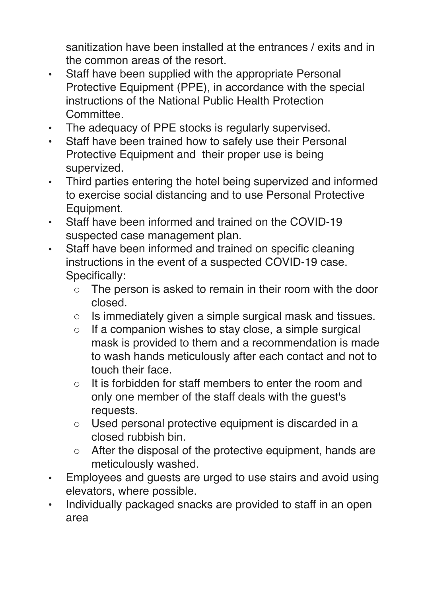sanitization have been installed at the entrances / exits and in the common areas of the resort.

- Staff have been supplied with the appropriate Personal Protective Equipment (PPE), in accordance with the special instructions of the National Public Health Protection Committee.
- The adequacy of PPE stocks is regularly supervised.
- Staff have been trained how to safely use their Personal Protective Equipment and their proper use is being supervized.
- Third parties entering the hotel being supervized and informed to exercise social distancing and to use Personal Protective Equipment.
- Staff have been informed and trained on the COVID-19 suspected case management plan.
- Staff have been informed and trained on specific cleaning instructions in the event of a suspected COVID-19 case. Specifically:
	- The person is asked to remain in their room with the door closed.
	- Is immediately given a simple surgical mask and tissues.
	- If a companion wishes to stay close, a simple surgical mask is provided to them and a recommendation is made to wash hands meticulously after each contact and not to touch their face.
	- It is forbidden for staff members to enter the room and only one member of the staff deals with the guest's requests.
	- Used personal protective equipment is discarded in a closed rubbish bin.
	- After the disposal of the protective equipment, hands are meticulously washed.
- Employees and guests are urged to use stairs and avoid using elevators, where possible.
- Individually packaged snacks are provided to staff in an open area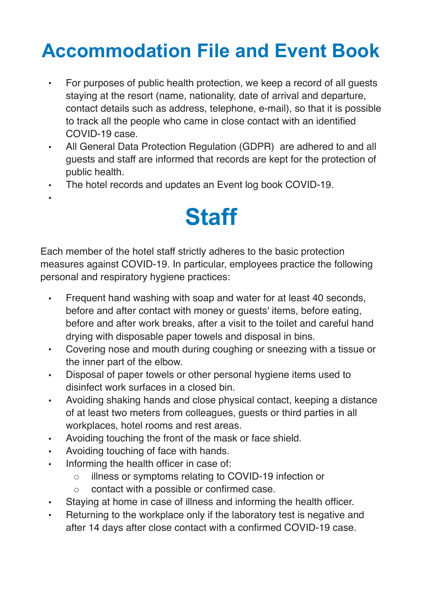### **Accommodation File and Event Book**

- For purposes of public health protection, we keep a record of all guests staying at the resort (name, nationality, date of arrival and departure, contact details such as address, telephone, e-mail), so that it is possible to track all the people who came in close contact with an identified COVID-19 case.
- All General Data Protection Regulation (GDPR) are adhered to and all guests and staff are informed that records are kept for the protection of public health.
- The hotel records and updates an Event log book COVID-19.
	- **Staff**

Each member of the hotel staff strictly adheres to the basic protection measures against COVID-19. In particular, employees practice the following personal and respiratory hygiene practices:

- Frequent hand washing with soap and water for at least 40 seconds, before and after contact with money or guests' items, before eating, before and after work breaks, after a visit to the toilet and careful hand drying with disposable paper towels and disposal in bins.
- Covering nose and mouth during coughing or sneezing with a tissue or the inner part of the elbow.
- Disposal of paper towels or other personal hygiene items used to disinfect work surfaces in a closed bin.
- Avoiding shaking hands and close physical contact, keeping a distance of at least two meters from colleagues, guests or third parties in all workplaces, hotel rooms and rest areas.
- Avoiding touching the front of the mask or face shield.
- Avoiding touching of face with hands.

•

- Informing the health officer in case of:
	- illness or symptoms relating to COVID-19 infection or
	- contact with a possible or confirmed case.
- Staying at home in case of illness and informing the health officer.
- Returning to the workplace only if the laboratory test is negative and after 14 days after close contact with a confirmed COVID-19 case.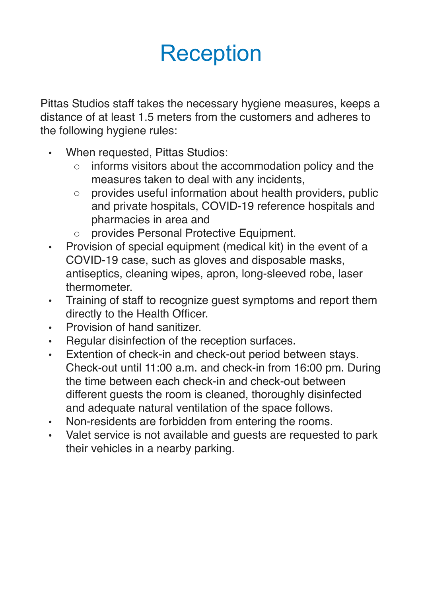# Reception

Pittas Studios staff takes the necessary hygiene measures, keeps a distance of at least 1.5 meters from the customers and adheres to the following hygiene rules:

- When requested, Pittas Studios:
	- informs visitors about the accommodation policy and the measures taken to deal with any incidents,
	- provides useful information about health providers, public and private hospitals, COVID-19 reference hospitals and pharmacies in area and
	- provides Personal Protective Equipment.
- Provision of special equipment (medical kit) in the event of a COVID-19 case, such as gloves and disposable masks, antiseptics, cleaning wipes, apron, long-sleeved robe, laser thermometer.
- Training of staff to recognize guest symptoms and report them directly to the Health Officer.
- Provision of hand sanitizer.
- Regular disinfection of the reception surfaces.
- Extention of check-in and check-out period between stays. Check-out until 11:00 a.m. and check-in from 16:00 pm. During the time between each check-in and check-out between different guests the room is cleaned, thoroughly disinfected and adequate natural ventilation of the space follows.
- Non-residents are forbidden from entering the rooms.
- Valet service is not available and guests are requested to park their vehicles in a nearby parking.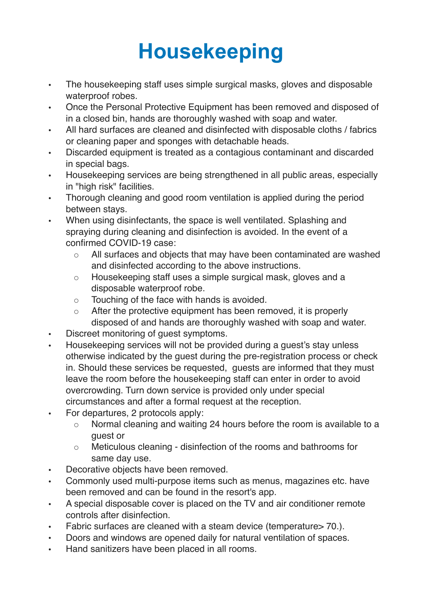## **Housekeeping**

- The housekeeping staff uses simple surgical masks, gloves and disposable waterproof robes.
- Once the Personal Protective Equipment has been removed and disposed of in a closed bin, hands are thoroughly washed with soap and water.
- All hard surfaces are cleaned and disinfected with disposable cloths / fabrics or cleaning paper and sponges with detachable heads.
- Discarded equipment is treated as a contagious contaminant and discarded in special bags.
- Housekeeping services are being strengthened in all public areas, especially in "high risk" facilities.
- Thorough cleaning and good room ventilation is applied during the period between stays.
- When using disinfectants, the space is well ventilated. Splashing and spraying during cleaning and disinfection is avoided. In the event of a confirmed COVID-19 case:
	- All surfaces and objects that may have been contaminated are washed and disinfected according to the above instructions.
	- Housekeeping staff uses a simple surgical mask, gloves and a disposable waterproof robe.
	- Touching of the face with hands is avoided.
	- After the protective equipment has been removed, it is properly disposed of and hands are thoroughly washed with soap and water.
- Discreet monitoring of guest symptoms.
- Housekeeping services will not be provided during a guest's stay unless otherwise indicated by the guest during the pre-registration process or check in. Should these services be requested, guests are informed that they must leave the room before the housekeeping staff can enter in order to avoid overcrowding. Turn down service is provided only under special circumstances and after a formal request at the reception.
- For departures, 2 protocols apply:
	- Normal cleaning and waiting 24 hours before the room is available to a guest or
	- Meticulous cleaning disinfection of the rooms and bathrooms for same day use.
- Decorative objects have been removed.
- Commonly used multi-purpose items such as menus, magazines etc. have been removed and can be found in the resort's app.
- A special disposable cover is placed on the TV and air conditioner remote controls after disinfection.
- Fabric surfaces are cleaned with a steam device (temperature > 70.).
- Doors and windows are opened daily for natural ventilation of spaces.
- Hand sanitizers have been placed in all rooms.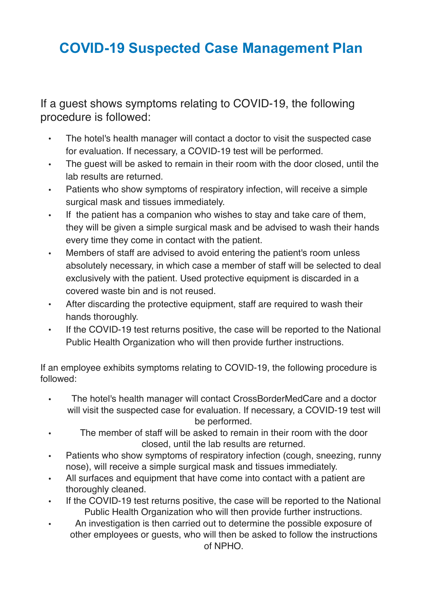### **COVID-19 Suspected Case Management Plan**

If a guest shows symptoms relating to COVID-19, the following procedure is followed:

- The hotel's health manager will contact a doctor to visit the suspected case for evaluation. If necessary, a COVID-19 test will be performed.
- The guest will be asked to remain in their room with the door closed, until the lab results are returned.
- Patients who show symptoms of respiratory infection, will receive a simple surgical mask and tissues immediately.
- If the patient has a companion who wishes to stay and take care of them, they will be given a simple surgical mask and be advised to wash their hands every time they come in contact with the patient.
- Members of staff are advised to avoid entering the patient's room unless absolutely necessary, in which case a member of staff will be selected to deal exclusively with the patient. Used protective equipment is discarded in a covered waste bin and is not reused.
- After discarding the protective equipment, staff are required to wash their hands thoroughly.
- If the COVID-19 test returns positive, the case will be reported to the National Public Health Organization who will then provide further instructions.

If an employee exhibits symptoms relating to COVID-19, the following procedure is followed:

- The hotel's health manager will contact CrossBorderMedCare and a doctor will visit the suspected case for evaluation. If necessary, a COVID-19 test will be performed.
- The member of staff will be asked to remain in their room with the door closed, until the lab results are returned.
- Patients who show symptoms of respiratory infection (cough, sneezing, runny nose), will receive a simple surgical mask and tissues immediately.
- All surfaces and equipment that have come into contact with a patient are thoroughly cleaned.
- If the COVID-19 test returns positive, the case will be reported to the National Public Health Organization who will then provide further instructions.
- An investigation is then carried out to determine the possible exposure of other employees or guests, who will then be asked to follow the instructions of NPHO.